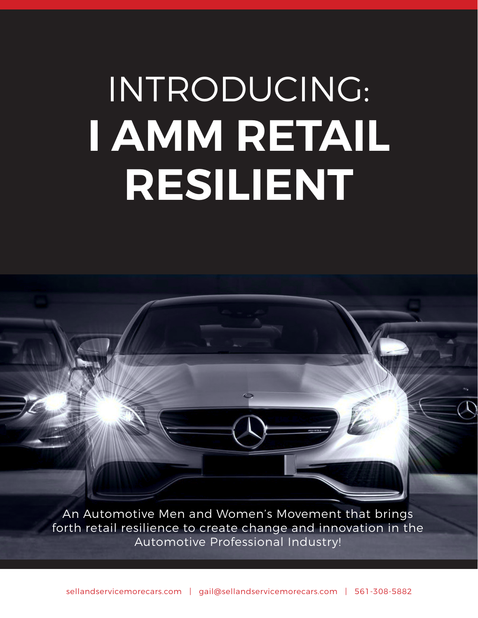# INTRODUCING: **I AMM RETAIL RESILIENT**

An Automotive Men and Women's Movement that brings forth retail resilience to create change and innovation in the Automotive Professional Industry!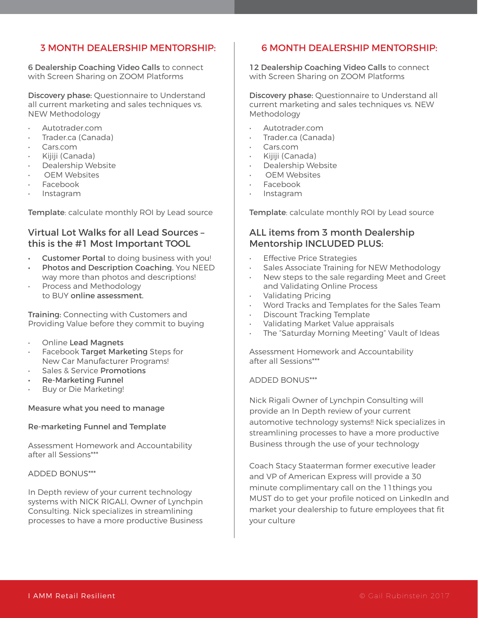# 3 MONTH DEALERSHIP MENTORSHIP:

6 Dealership Coaching Video Calls to connect with Screen Sharing on ZOOM Platforms

Discovery phase: Questionnaire to Understand all current marketing and sales techniques vs. NEW Methodology

- Autotrader.com
- Trader.ca (Canada)
- Cars.com
- Kijiji (Canada)
- Dealership Website
- **OEM Websites**
- Facebook
- **Instagram**

Template: calculate monthly ROI by Lead source

### Virtual Lot Walks for all Lead Sources – this is the #1 Most Important TOOL

- Customer Portal to doing business with you!
- **Photos and Description Coaching. You NEED** way more than photos and descriptions!
- Process and Methodology to BUY online assessment.

Training: Connecting with Customers and Providing Value before they commit to buying

- Online Lead Magnets
- Facebook Target Marketing Steps for New Car Manufacturer Programs!
- Sales & Service Promotions
- **Re-Marketing Funnel**
- Buy or Die Marketing!

#### Measure what you need to manage

#### Re-marketing Funnel and Template

Assessment Homework and Accountability after all Sessions\*\*\*

#### ADDED BONUS\*\*\*

In Depth review of your current technology systems with NICK RIGALI, Owner of Lynchpin Consulting. Nick specializes in streamlining processes to have a more productive Business

# 6 MONTH DEALERSHIP MENTORSHIP:

12 Dealership Coaching Video Calls to connect with Screen Sharing on ZOOM Platforms

Discovery phase: Questionnaire to Understand all current marketing and sales techniques vs. NEW Methodology

- Autotrader.com
- Trader.ca (Canada)
- Cars.com
- Kijiji (Canada)
- Dealership Website
- **OEM Websites**
- Facebook
- **Instagram**

Template: calculate monthly ROI by Lead source

## ALL items from 3 month Dealership Mentorship INCLUDED PLUS:

- **Effective Price Strategies**
- Sales Associate Training for NEW Methodology
- New steps to the sale regarding Meet and Greet and Validating Online Process
- **Validating Pricing**
- Word Tracks and Templates for the Sales Team
- Discount Tracking Template
- Validating Market Value appraisals
- The "Saturday Morning Meeting" Vault of Ideas

Assessment Homework and Accountability after all Sessions\*\*\*

#### ADDED BONUS\*\*\*

Nick Rigali Owner of Lynchpin Consulting will provide an In Depth review of your current automotive technology systems!! Nick specializes in streamlining processes to have a more productive Business through the use of your technology

Coach Stacy Staaterman former executive leader and VP of American Express will provide a 30 minute complimentary call on the 11things you MUST do to get your profile noticed on LinkedIn and market your dealership to future employees that fit your culture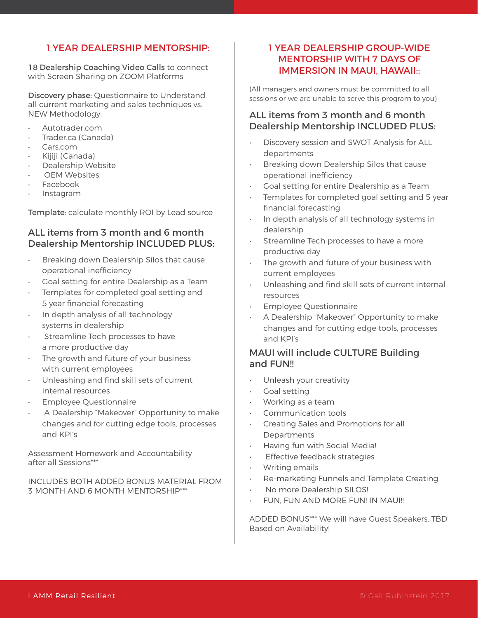# 1 YEAR DEALERSHIP MENTORSHIP:

18 Dealership Coaching Video Calls to connect with Screen Sharing on ZOOM Platforms

Discovery phase: Questionnaire to Understand all current marketing and sales techniques vs. NEW Methodology

- Autotrader.com
- Trader.ca (Canada)
- Cars.com
- Kijiji (Canada)
- Dealership Website
- **OEM Websites**
- Facebook
- **Instagram**

Template: calculate monthly ROI by Lead source

# ALL items from 3 month and 6 month Dealership Mentorship INCLUDED PLUS:

- Breaking down Dealership Silos that cause operational inefficiency
- Goal setting for entire Dealership as a Team
- Templates for completed goal setting and 5 year financial forecasting
- In depth analysis of all technology systems in dealership
- Streamline Tech processes to have a more productive day
- The growth and future of your business with current employees
- Unleashing and find skill sets of current internal resources
- **Employee Ouestionnaire**
- A Dealership "Makeover" Opportunity to make changes and for cutting edge tools, processes and KPI's

Assessment Homework and Accountability after all Sessions\*\*\*

#### INCLUDES BOTH ADDED BONUS MATERIAL FROM 3 MONTH AND 6 MONTH MENTORSHIP\*\*\*

# 1 YEAR DEALERSHIP GROUP-WIDE MENTORSHIP WITH 7 DAYS OF IMMERSION IN MAUI, HAWAII::

(All managers and owners must be committed to all sessions or we are unable to serve this program to you)

# ALL items from 3 month and 6 month Dealership Mentorship INCLUDED PLUS:

- Discovery session and SWOT Analysis for ALL departments
- Breaking down Dealership Silos that cause operational inefficiency
- Goal setting for entire Dealership as a Team
- Templates for completed goal setting and 5 year financial forecasting
- In depth analysis of all technology systems in dealership
- Streamline Tech processes to have a more productive day
- The growth and future of your business with current employees
- Unleashing and find skill sets of current internal resources
- **Employee Ouestionnaire**
- A Dealership "Makeover" Opportunity to make changes and for cutting edge tools, processes and KPI's

# MAUI will include CULTURE Building and FUN!!

- Unleash your creativity
- Goal setting
- Working as a team
- Communication tools
- Creating Sales and Promotions for all **Departments**
- Having fun with Social Media!
- **Effective feedback strategies**
- Writing emails
- Re-marketing Funnels and Template Creating
- No more Dealership SILOS!
- FUN, FUN AND MORE FUN! IN MAUI!!

ADDED BONUS\*\*\* We will have Guest Speakers. TBD Based on Availability!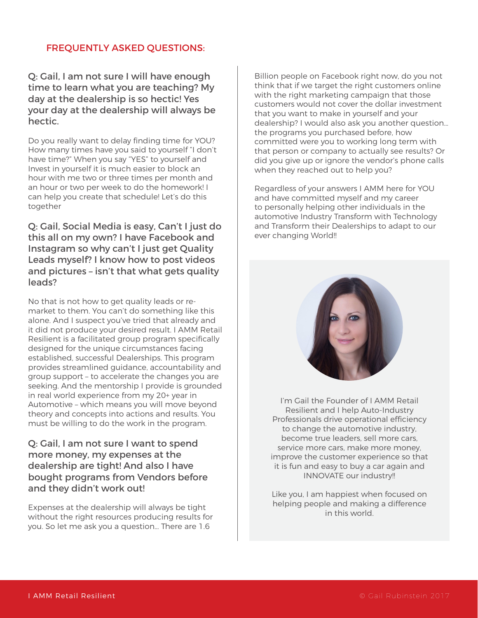# FREQUENTLY ASKED QUESTIONS:

Q: Gail, I am not sure I will have enough time to learn what you are teaching? My day at the dealership is so hectic! Yes your day at the dealership will always be hectic.

Do you really want to delay finding time for YOU? How many times have you said to yourself "I don't have time?" When you say "YES" to yourself and Invest in yourself it is much easier to block an hour with me two or three times per month and an hour or two per week to do the homework! I can help you create that schedule! Let's do this together

Q: Gail, Social Media is easy, Can't I just do this all on my own? I have Facebook and Instagram so why can't I just get Quality Leads myself? I know how to post videos and pictures – isn't that what gets quality leads?

No that is not how to get quality leads or remarket to them. You can't do something like this alone. And I suspect you've tried that already and it did not produce your desired result. I AMM Retail Resilient is a facilitated group program specifically designed for the unique circumstances facing established, successful Dealerships. This program provides streamlined guidance, accountability and group support – to accelerate the changes you are seeking. And the mentorship I provide is grounded in real world experience from my 20+ year in Automotive – which means you will move beyond theory and concepts into actions and results. You must be willing to do the work in the program.

# Q: Gail, I am not sure I want to spend more money, my expenses at the dealership are tight! And also I have bought programs from Vendors before and they didn't work out!

Expenses at the dealership will always be tight without the right resources producing results for you. So let me ask you a question… There are 1.6

Billion people on Facebook right now, do you not think that if we target the right customers online with the right marketing campaign that those customers would not cover the dollar investment that you want to make in yourself and your dealership? I would also ask you another question… the programs you purchased before, how committed were you to working long term with that person or company to actually see results? Or did you give up or ignore the vendor's phone calls when they reached out to help you?

Regardless of your answers I AMM here for YOU and have committed myself and my career to personally helping other individuals in the automotive Industry Transform with Technology and Transform their Dealerships to adapt to our ever changing World!!



I'm Gail the Founder of I AMM Retail Resilient and I help Auto-Industry Professionals drive operational efficiency to change the automotive industry, become true leaders, sell more cars, service more cars, make more money, improve the customer experience so that it is fun and easy to buy a car again and INNOVATE our industry!!

Like you, I am happiest when focused on helping people and making a difference in this world.